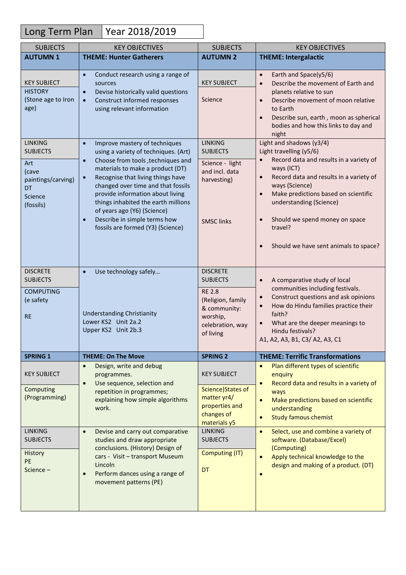## Long Term Plan | Year 2018/2019

| <b>SUBJECTS</b>                                                                                                    | <b>KEY OBJECTIVES</b>                                                                                                                                                                                                                                                                                                                                                                                                                                        | <b>SUBJECTS</b>                                                                                                                                                            | <b>KEY OBJECTIVES</b>                                                                                                                                                                                                                                                                                                                                                                                                                   |
|--------------------------------------------------------------------------------------------------------------------|--------------------------------------------------------------------------------------------------------------------------------------------------------------------------------------------------------------------------------------------------------------------------------------------------------------------------------------------------------------------------------------------------------------------------------------------------------------|----------------------------------------------------------------------------------------------------------------------------------------------------------------------------|-----------------------------------------------------------------------------------------------------------------------------------------------------------------------------------------------------------------------------------------------------------------------------------------------------------------------------------------------------------------------------------------------------------------------------------------|
| <b>AUTUMN1</b>                                                                                                     | <b>THEME: Hunter Gatherers</b>                                                                                                                                                                                                                                                                                                                                                                                                                               | <b>AUTUMN 2</b>                                                                                                                                                            | <b>THEME: Intergalactic</b>                                                                                                                                                                                                                                                                                                                                                                                                             |
| <b>KEY SUBJECT</b><br><b>HISTORY</b><br>(Stone age to Iron<br>age)                                                 | Conduct research using a range of<br>$\bullet$<br>sources<br>Devise historically valid questions<br>$\bullet$<br>Construct informed responses<br>$\bullet$<br>using relevant information                                                                                                                                                                                                                                                                     | <b>KEY SUBJECT</b><br>Science                                                                                                                                              | Earth and Space(y5/6)<br>$\bullet$<br>Describe the movement of Earth and<br>$\bullet$<br>planets relative to sun<br>Describe movement of moon relative<br>$\bullet$<br>to Earth<br>Describe sun, earth, moon as spherical<br>$\bullet$<br>bodies and how this links to day and<br>night                                                                                                                                                 |
| <b>LINKING</b><br><b>SUBJECTS</b><br>Art<br>(cave<br>paintings/carving)<br><b>DT</b><br>Science<br>(fossils)       | Improve mastery of techniques<br>$\bullet$<br>using a variety of techniques. (Art)<br>Choose from tools, techniques and<br>$\bullet$<br>materials to make a product (DT)<br>Recognise that living things have<br>$\bullet$<br>changed over time and that fossils<br>provide information about living<br>things inhabited the earth millions<br>of years ago (Y6) (Science)<br>Describe in simple terms how<br>$\bullet$<br>fossils are formed (Y3) (Science) | <b>LINKING</b><br><b>SUBJECTS</b><br>Science - light<br>and incl. data<br>harvesting)<br><b>SMSC links</b>                                                                 | Light and shadows (y3/4)<br>Light travelling (y5/6)<br>Record data and results in a variety of<br>$\bullet$<br>ways (ICT)<br>Record data and results in a variety of<br>$\bullet$<br>ways (Science)<br>Make predictions based on scientific<br>$\bullet$<br>understanding (Science)<br>Should we spend money on space<br>$\bullet$<br>travel?<br>Should we have sent animals to space?<br>$\bullet$                                     |
| <b>DISCRETE</b><br><b>SUBJECTS</b><br><b>COMPUTING</b><br>(e safety<br><b>RE</b>                                   | Use technology safely<br>$\bullet$<br><b>Understanding Christianity</b><br>Lower KS2 Unit 2a.2<br>Upper KS2 Unit 2b.3                                                                                                                                                                                                                                                                                                                                        | <b>DISCRETE</b><br><b>SUBJECTS</b><br><b>RE 2.8</b><br>(Religion, family<br>& community:<br>worship,<br>celebration, way<br>of living                                      | A comparative study of local<br>$\bullet$<br>communities including festivals.<br>Construct questions and ask opinions<br>$\bullet$<br>How do Hindu families practice their<br>$\bullet$<br>faith?<br>What are the deeper meanings to<br>$\bullet$<br>Hindu festivals?<br>A1, A2, A3, B1, C3/ A2, A3, C1                                                                                                                                 |
| <b>SPRING 1</b>                                                                                                    | <b>THEME: On The Move</b>                                                                                                                                                                                                                                                                                                                                                                                                                                    | <b>SPRING 2</b>                                                                                                                                                            | <b>THEME: Terrific Transformations</b>                                                                                                                                                                                                                                                                                                                                                                                                  |
| <b>KEY SUBJECT</b><br>Computing<br>(Programming)<br><b>LINKING</b><br><b>SUBJECTS</b><br>History<br>PE<br>Science- | Design, write and debug<br>$\bullet$<br>programmes.<br>Use sequence, selection and<br>$\bullet$<br>repetition in programmes;<br>explaining how simple algorithms<br>work.<br>Devise and carry out comparative<br>$\bullet$<br>studies and draw appropriate<br>conclusions. (History) Design of<br>cars - Visit - transport Museum<br>Lincoln<br>Perform dances using a range of<br>$\bullet$<br>movement patterns (PE)                                       | <b>KEY SUBJECT</b><br>Science)States of<br>matter yr4/<br>properties and<br>changes of<br>materials y5<br><b>LINKING</b><br><b>SUBJECTS</b><br><b>Computing (IT)</b><br>DT | Plan different types of scientific<br>$\bullet$<br>enquiry<br>Record data and results in a variety of<br>$\bullet$<br>ways<br>Make predictions based on scientific<br>$\bullet$<br>understanding<br><b>Study famous chemist</b><br>$\bullet$<br>Select, use and combine a variety of<br>$\bullet$<br>software. (Database/Excel)<br>(Computing)<br>Apply technical knowledge to the<br>$\bullet$<br>design and making of a product. (DT) |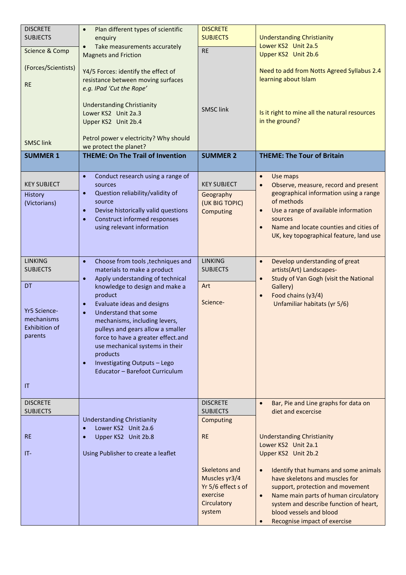| <b>DISCRETE</b><br><b>SUBJECTS</b>                                                                                    | Plan different types of scientific<br>$\bullet$<br>enquiry                                                                                                                                                                                                                                                                                                                                                                                                                                            | <b>DISCRETE</b><br><b>SUBJECTS</b>                                                                                                                        | <b>Understanding Christianity</b>                                                                                                                                                                                                                                                                                                                                                                                                                |
|-----------------------------------------------------------------------------------------------------------------------|-------------------------------------------------------------------------------------------------------------------------------------------------------------------------------------------------------------------------------------------------------------------------------------------------------------------------------------------------------------------------------------------------------------------------------------------------------------------------------------------------------|-----------------------------------------------------------------------------------------------------------------------------------------------------------|--------------------------------------------------------------------------------------------------------------------------------------------------------------------------------------------------------------------------------------------------------------------------------------------------------------------------------------------------------------------------------------------------------------------------------------------------|
| Science & Comp                                                                                                        | Take measurements accurately<br>$\bullet$<br><b>Magnets and Friction</b>                                                                                                                                                                                                                                                                                                                                                                                                                              | <b>RE</b>                                                                                                                                                 | Lower KS2 Unit 2a.5<br>Upper KS2 Unit 2b.6                                                                                                                                                                                                                                                                                                                                                                                                       |
| (Forces/Scientists)<br><b>RE</b>                                                                                      | Y4/5 Forces: identify the effect of<br>resistance between moving surfaces<br>e.g. IPad 'Cut the Rope'                                                                                                                                                                                                                                                                                                                                                                                                 |                                                                                                                                                           | Need to add from Notts Agreed Syllabus 2.4<br>learning about Islam                                                                                                                                                                                                                                                                                                                                                                               |
|                                                                                                                       | <b>Understanding Christianity</b><br>Lower KS2 Unit 2a.3<br>Upper KS2 Unit 2b.4                                                                                                                                                                                                                                                                                                                                                                                                                       | <b>SMSC link</b>                                                                                                                                          | Is it right to mine all the natural resources<br>in the ground?                                                                                                                                                                                                                                                                                                                                                                                  |
| <b>SMSC link</b>                                                                                                      | Petrol power v electricity? Why should<br>we protect the planet?                                                                                                                                                                                                                                                                                                                                                                                                                                      |                                                                                                                                                           |                                                                                                                                                                                                                                                                                                                                                                                                                                                  |
| <b>SUMMER 1</b>                                                                                                       | <b>THEME: On The Trail of Invention</b>                                                                                                                                                                                                                                                                                                                                                                                                                                                               | <b>SUMMER 2</b>                                                                                                                                           | <b>THEME: The Tour of Britain</b>                                                                                                                                                                                                                                                                                                                                                                                                                |
| <b>KEY SUBJECT</b><br>History<br>(Victorians)                                                                         | Conduct research using a range of<br>$\bullet$<br>sources<br>Question reliability/validity of<br>$\bullet$<br>source<br>Devise historically valid questions<br>$\bullet$<br>Construct informed responses<br>$\bullet$<br>using relevant information                                                                                                                                                                                                                                                   | <b>KEY SUBJECT</b><br>Geography<br>(UK BIG TOPIC)<br>Computing                                                                                            | Use maps<br>$\bullet$<br>Observe, measure, record and present<br>$\bullet$<br>geographical information using a range<br>of methods<br>Use a range of available information<br>$\bullet$<br>sources<br>Name and locate counties and cities of<br>$\bullet$<br>UK, key topographical feature, land use                                                                                                                                             |
| <b>LINKING</b><br><b>SUBJECTS</b><br><b>DT</b><br><b>Yr5 Science-</b><br>mechanisms<br>Exhibition of<br>parents<br>ΙT | $\bullet$<br>Choose from tools, techniques and<br>materials to make a product<br>Apply understanding of technical<br>$\bullet$<br>knowledge to design and make a<br>product<br>Evaluate ideas and designs<br>$\bullet$<br>Understand that some<br>$\bullet$<br>mechanisms, including levers,<br>pulleys and gears allow a smaller<br>force to have a greater effect.and<br>use mechanical systems in their<br>products<br>Investigating Outputs - Lego<br>$\bullet$<br>Educator - Barefoot Curriculum | LINKING<br><b>SUBJECTS</b><br>Art<br>Science-                                                                                                             | Develop understanding of great<br>$\bullet$<br>artists(Art) Landscapes-<br>Study of Van Gogh (visit the National<br>$\bullet$<br>Gallery)<br>Food chains (y3/4)<br>$\bullet$<br>Unfamiliar habitats (yr 5/6)                                                                                                                                                                                                                                     |
| <b>DISCRETE</b><br><b>SUBJECTS</b><br><b>RE</b><br>IT-                                                                | <b>Understanding Christianity</b><br>Lower KS2 Unit 2a.6<br>$\bullet$<br>Upper KS2 Unit 2b.8<br>$\bullet$<br>Using Publisher to create a leaflet                                                                                                                                                                                                                                                                                                                                                      | <b>DISCRETE</b><br><b>SUBJECTS</b><br>Computing<br><b>RE</b><br>Skeletons and<br>Muscles yr3/4<br>Yr 5/6 effect s of<br>exercise<br>Circulatory<br>system | Bar, Pie and Line graphs for data on<br>$\bullet$<br>diet and excercise<br><b>Understanding Christianity</b><br>Lower KS2 Unit 2a.1<br>Upper KS2 Unit 2b.2<br>Identify that humans and some animals<br>$\bullet$<br>have skeletons and muscles for<br>support, protection and movement<br>Name main parts of human circulatory<br>$\bullet$<br>system and describe function of heart,<br>blood vessels and blood<br>Recognise impact of exercise |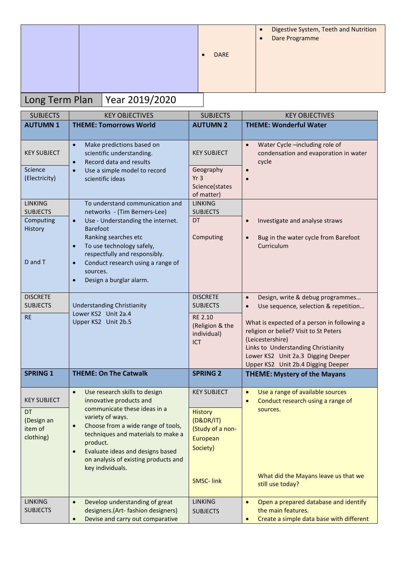|  |                                           | <b>DARE</b> | $\bullet$<br>$\bullet$ | Digestive System, Teeth and Nutrition<br>Dare Programme |
|--|-------------------------------------------|-------------|------------------------|---------------------------------------------------------|
|  | $l_{\text{max}}$ Texas Dex Vect 2010/2020 |             |                        |                                                         |

## Long Term Plan | Year 2019/2020

| <b>SUBJECTS</b>                   | <b>KEY OBJECTIVES</b>                                                                                                                                            | <b>SUBJECTS</b>                                              | <b>KEY OBJECTIVES</b>                                                                                                                                                                                                        |
|-----------------------------------|------------------------------------------------------------------------------------------------------------------------------------------------------------------|--------------------------------------------------------------|------------------------------------------------------------------------------------------------------------------------------------------------------------------------------------------------------------------------------|
| <b>AUTUMN1</b>                    | <b>THEME: Tomorrows World</b>                                                                                                                                    | <b>AUTUMN 2</b>                                              | <b>THEME: Wonderful Water</b>                                                                                                                                                                                                |
|                                   |                                                                                                                                                                  |                                                              |                                                                                                                                                                                                                              |
| <b>KEY SUBJECT</b>                | Make predictions based on<br>$\bullet$<br>scientific understanding.<br>Record data and results<br>$\bullet$                                                      | <b>KEY SUBJECT</b>                                           | Water Cycle -including role of<br>$\bullet$<br>condensation and evaporation in water<br>cycle                                                                                                                                |
| Science<br>(Electricity)          | Use a simple model to record<br>$\bullet$<br>scientific ideas                                                                                                    | Geography<br>Yr <sub>3</sub><br>Science(states<br>of matter) | $\bullet$                                                                                                                                                                                                                    |
| <b>LINKING</b><br><b>SUBJECTS</b> | To understand communication and<br>networks - (Tim Berners-Lee)                                                                                                  | <b>LINKING</b><br><b>SUBJECTS</b>                            |                                                                                                                                                                                                                              |
| Computing<br>History              | Use - Understanding the internet.<br>$\bullet$<br><b>Barefoot</b><br>Ranking searches etc                                                                        | DT<br>Computing                                              | Investigate and analyse straws<br>$\bullet$                                                                                                                                                                                  |
| D and T                           | To use technology safely,<br>$\bullet$<br>respectfully and responsibly.<br>Conduct research using a range of<br>$\bullet$<br>sources.<br>Design a burglar alarm. |                                                              | Bug in the water cycle from Barefoot<br>$\bullet$<br>Curriculum                                                                                                                                                              |
| <b>DISCRETE</b>                   |                                                                                                                                                                  | <b>DISCRETE</b>                                              | Design, write & debug programmes<br>$\bullet$                                                                                                                                                                                |
| <b>SUBJECTS</b>                   | <b>Understanding Christianity</b><br>Lower KS2 Unit 2a.4                                                                                                         | <b>SUBJECTS</b>                                              | Use sequence, selection & repetition<br>$\bullet$                                                                                                                                                                            |
| <b>RE</b>                         | Upper KS2 Unit 2b.5                                                                                                                                              | RE 2.10<br>(Religion & the<br>individual)<br>ICT             | What is expected of a person in following a<br>religion or belief? Visit to St Peters<br>(Leicestershire)<br>Links to Understanding Christianity<br>Lower KS2 Unit 2a.3 Digging Deeper<br>Upper KS2 Unit 2b.4 Digging Deeper |
| <b>SPRING 1</b>                   | <b>THEME: On The Catwalk</b>                                                                                                                                     | <b>SPRING 2</b>                                              | <b>THEME: Mystery of the Mayans</b>                                                                                                                                                                                          |
| <b>KEY SUBJECT</b>                | Use research skills to design<br>$\bullet$<br>innovative products and                                                                                            | <b>KEY SUBJECT</b>                                           | Use a range of available sources<br>$\bullet$<br>Conduct research using a range of<br>$\bullet$                                                                                                                              |
| DT                                | communicate these ideas in a<br>variety of ways.                                                                                                                 | <b>History</b>                                               | sources.                                                                                                                                                                                                                     |
| (Design an<br>item of             | Choose from a wide range of tools,<br>$\bullet$                                                                                                                  | (D&DR/IT)<br>(Study of a non-                                |                                                                                                                                                                                                                              |
| clothing)                         | techniques and materials to make a                                                                                                                               | European                                                     |                                                                                                                                                                                                                              |
|                                   | product.<br>Evaluate ideas and designs based                                                                                                                     | Society}                                                     |                                                                                                                                                                                                                              |
|                                   | $\bullet$<br>on analysis of existing products and<br>key individuals.                                                                                            |                                                              |                                                                                                                                                                                                                              |
|                                   |                                                                                                                                                                  | <b>SMSC-link</b>                                             | What did the Mayans leave us that we<br>still use today?                                                                                                                                                                     |
| <b>LINKING</b>                    | Develop understanding of great<br>$\bullet$                                                                                                                      | <b>LINKING</b>                                               | Open a prepared database and identify<br>$\bullet$                                                                                                                                                                           |
| <b>SUBJECTS</b>                   | designers. (Art- fashion designers)<br>Devise and carry out comparative<br>$\bullet$                                                                             | <b>SUBJECTS</b>                                              | the main features.<br>Create a simple data base with different<br>$\bullet$                                                                                                                                                  |
|                                   |                                                                                                                                                                  |                                                              |                                                                                                                                                                                                                              |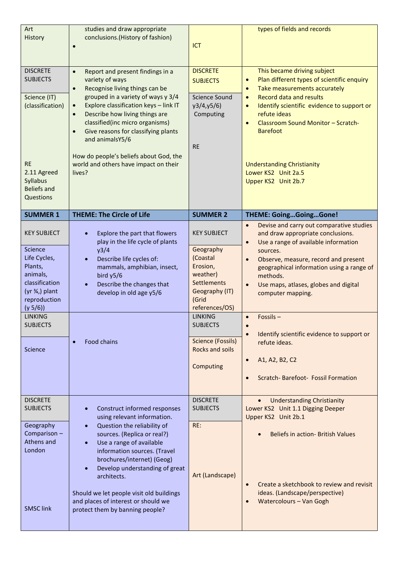| Art<br>History                                                                                                                                                                                | studies and draw appropriate<br>conclusions. (History of fashion)                                                                                                                                                                                                                                                                                                                                                                                                 | ICT                                                                                                                                                                                                                                     | types of fields and records                                                                                                                                                                                                                                                                                                                                                                                                                                                                                                                              |
|-----------------------------------------------------------------------------------------------------------------------------------------------------------------------------------------------|-------------------------------------------------------------------------------------------------------------------------------------------------------------------------------------------------------------------------------------------------------------------------------------------------------------------------------------------------------------------------------------------------------------------------------------------------------------------|-----------------------------------------------------------------------------------------------------------------------------------------------------------------------------------------------------------------------------------------|----------------------------------------------------------------------------------------------------------------------------------------------------------------------------------------------------------------------------------------------------------------------------------------------------------------------------------------------------------------------------------------------------------------------------------------------------------------------------------------------------------------------------------------------------------|
| <b>DISCRETE</b><br><b>SUBJECTS</b><br>Science (IT)<br>(classification)<br><b>RE</b><br>2.11 Agreed<br>Syllabus<br><b>Beliefs and</b><br>Questions                                             | Report and present findings in a<br>$\bullet$<br>variety of ways<br>Recognise living things can be<br>$\bullet$<br>grouped in a variety of ways y 3/4<br>Explore classification keys - link IT<br>$\bullet$<br>Describe how living things are<br>$\bullet$<br>classified(inc micro organisms)<br>Give reasons for classifying plants<br>$\bullet$<br>and animalsY5/6<br>How do people's beliefs about God, the<br>world and others have impact on their<br>lives? | <b>DISCRETE</b><br><b>SUBJECTS</b><br><b>Science Sound</b><br>y3/4, y5/6<br>Computing<br><b>RE</b>                                                                                                                                      | This became driving subject<br>Plan different types of scientific enquiry<br>$\bullet$<br>Take measurements accurately<br>$\bullet$<br><b>Record data and results</b><br>$\bullet$<br>Identify scientific evidence to support or<br>$\bullet$<br>refute ideas<br>Classroom Sound Monitor - Scratch-<br>$\bullet$<br><b>Barefoot</b><br><b>Understanding Christianity</b><br>Lower KS2 Unit 2a.5<br>Upper KS2 Unit 2b.7                                                                                                                                   |
| <b>SUMMER 1</b>                                                                                                                                                                               | <b>THEME: The Circle of Life</b>                                                                                                                                                                                                                                                                                                                                                                                                                                  | <b>SUMMER 2</b>                                                                                                                                                                                                                         | <b>THEME: GoingGoingGone!</b>                                                                                                                                                                                                                                                                                                                                                                                                                                                                                                                            |
| <b>KEY SUBJECT</b><br>Science<br>Life Cycles,<br>Plants,<br>animals,<br>classification<br>$(yr \frac{3}{4})$ plant<br>reproduction<br>(y 5/6)<br><b>LINKING</b><br><b>SUBJECTS</b><br>Science | Explore the part that flowers<br>play in the life cycle of plants<br>y3/4<br>Describe life cycles of:<br>$\bullet$<br>mammals, amphibian, insect,<br>bird y5/6<br>Describe the changes that<br>develop in old age y5/6<br>Food chains                                                                                                                                                                                                                             | <b>KEY SUBJECT</b><br>Geography<br>(Coastal<br>Erosion,<br>weather)<br>Settlements<br>Geography (IT)<br>(Grid<br>references/OS)<br><b>LINKING</b><br><b>SUBJECTS</b><br><b>Science (Fossils)</b><br><b>Rocks and soils</b><br>Computing | Devise and carry out comparative studies<br>$\bullet$<br>and draw appropriate conclusions.<br>Use a range of available information<br>$\bullet$<br>sources.<br>Observe, measure, record and present<br>$\bullet$<br>geographical information using a range of<br>methods.<br>Use maps, atlases, globes and digital<br>$\bullet$<br>computer mapping.<br>Fossils-<br>$\bullet$<br>$\bullet$<br>Identify scientific evidence to support or<br>$\bullet$<br>refute ideas.<br>A1, A2, B2, C2<br>$\bullet$<br>Scratch-Barefoot- Fossil Formation<br>$\bullet$ |
| <b>DISCRETE</b><br><b>SUBJECTS</b><br>Geography<br>Comparison-<br>Athens and<br>London<br><b>SMSC link</b>                                                                                    | Construct informed responses<br>using relevant information.<br>Question the reliability of<br>sources. (Replica or real?)<br>Use a range of available<br>information sources. (Travel<br>brochures/internet) (Geog)<br>Develop understanding of great<br>architects.<br>Should we let people visit old buildings<br>and places of interest or should we<br>protect them by banning people?                                                                        | <b>DISCRETE</b><br><b>SUBJECTS</b><br>RE:<br>Art (Landscape)                                                                                                                                                                            | <b>Understanding Christianity</b><br>Lower KS2 Unit 1.1 Digging Deeper<br>Upper KS2 Unit 2b.1<br><b>Beliefs in action- British Values</b><br>Create a sketchbook to review and revisit<br>$\bullet$<br>ideas. (Landscape/perspective)<br><b>Watercolours - Van Gogh</b><br>$\bullet$                                                                                                                                                                                                                                                                     |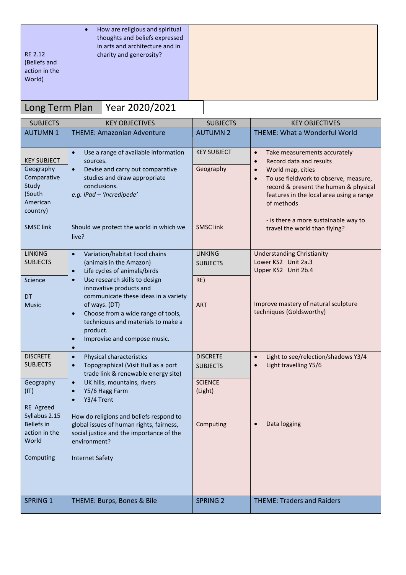| RE 2.12<br>(Beliefs and | How are religious and spiritual<br>$\bullet$<br>thoughts and beliefs expressed<br>in arts and architecture and in<br>charity and generosity? |  |
|-------------------------|----------------------------------------------------------------------------------------------------------------------------------------------|--|
| action in the<br>World) |                                                                                                                                              |  |

## Long Term Plan Year 2020/2021

| <b>SUBJECTS</b>                 | <b>KEY OBJECTIVES</b>                                                                   | <b>SUBJECTS</b>    | <b>KEY OBJECTIVES</b>                                                  |
|---------------------------------|-----------------------------------------------------------------------------------------|--------------------|------------------------------------------------------------------------|
| <b>AUTUMN1</b>                  | <b>THEME: Amazonian Adventure</b>                                                       | <b>AUTUMN 2</b>    | <b>THEME: What a Wonderful World</b>                                   |
|                                 |                                                                                         |                    |                                                                        |
|                                 | Use a range of available information<br>$\bullet$                                       | <b>KEY SUBJECT</b> | Take measurements accurately<br>$\bullet$                              |
| <b>KEY SUBJECT</b><br>Geography | sources.<br>Devise and carry out comparative<br>$\bullet$                               | Geography          | Record data and results<br>$\bullet$<br>World map, cities<br>$\bullet$ |
| Comparative                     | studies and draw appropriate                                                            |                    | To use fieldwork to observe, measure,<br>$\bullet$                     |
| Study                           | conclusions.                                                                            |                    | record & present the human & physical                                  |
| (South                          | e.g. IPad - 'Incredipede'                                                               |                    | features in the local area using a range                               |
| American<br>country)            |                                                                                         |                    | of methods                                                             |
|                                 |                                                                                         |                    | - is there a more sustainable way to                                   |
| <b>SMSC link</b>                | Should we protect the world in which we                                                 | <b>SMSC link</b>   | travel the world than flying?                                          |
|                                 | live?                                                                                   |                    |                                                                        |
| <b>LINKING</b>                  | Variation/habitat Food chains<br>$\bullet$                                              | <b>LINKING</b>     | <b>Understanding Christianity</b>                                      |
| <b>SUBJECTS</b>                 | (animals in the Amazon)                                                                 | <b>SUBJECTS</b>    | Lower KS2 Unit 2a.3                                                    |
|                                 | Life cycles of animals/birds<br>$\bullet$                                               |                    | Upper KS2 Unit 2b.4                                                    |
| Science                         | Use research skills to design<br>$\bullet$                                              | RE)                |                                                                        |
| <b>DT</b>                       | innovative products and<br>communicate these ideas in a variety                         |                    |                                                                        |
| <b>Music</b>                    | of ways. (DT)                                                                           | <b>ART</b>         | Improve mastery of natural sculpture                                   |
|                                 | Choose from a wide range of tools,<br>$\bullet$                                         |                    | techniques (Goldsworthy)                                               |
|                                 | techniques and materials to make a<br>product.                                          |                    |                                                                        |
|                                 | Improvise and compose music.<br>$\bullet$                                               |                    |                                                                        |
|                                 | $\bullet$                                                                               |                    |                                                                        |
| <b>DISCRETE</b>                 | Physical characteristics<br>$\bullet$                                                   | <b>DISCRETE</b>    | Light to see/relection/shadows Y3/4<br>$\bullet$                       |
| <b>SUBJECTS</b>                 | Topographical (Visit Hull as a port<br>$\bullet$<br>trade link & renewable energy site) | <b>SUBJECTS</b>    | Light travelling Y5/6<br>$\bullet$                                     |
| Geography                       | UK hills, mountains, rivers<br>$\bullet$                                                | <b>SCIENCE</b>     |                                                                        |
| (IT)                            | Y5/6 Hagg Farm<br>$\bullet$                                                             | (Light)            |                                                                        |
|                                 | Y3/4 Trent<br>$\bullet$                                                                 |                    |                                                                        |
| RE Agreed<br>Syllabus 2.15      | How do religions and beliefs respond to                                                 |                    |                                                                        |
| <b>Beliefs</b> in               | global issues of human rights, fairness,                                                | Computing          | Data logging                                                           |
| action in the                   | social justice and the importance of the                                                |                    |                                                                        |
| World                           | environment?                                                                            |                    |                                                                        |
| Computing                       | <b>Internet Safety</b>                                                                  |                    |                                                                        |
|                                 |                                                                                         |                    |                                                                        |
|                                 |                                                                                         |                    |                                                                        |
|                                 |                                                                                         |                    |                                                                        |
| <b>SPRING 1</b>                 | THEME: Burps, Bones & Bile                                                              | <b>SPRING 2</b>    | <b>THEME: Traders and Raiders</b>                                      |
|                                 |                                                                                         |                    |                                                                        |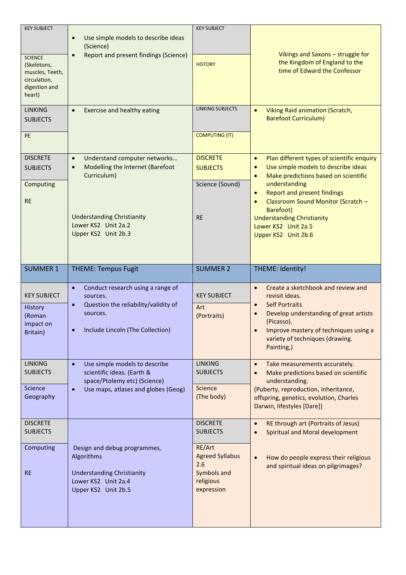| <b>KEY SUBJECT</b><br><b>SCIENCE</b><br>(Skeletons,<br>muscles, Teeth,<br>circulation,<br>digestion and<br>heart) | Use simple models to describe ideas<br>$\bullet$<br>(Science)<br>Report and present findings (Science)<br>$\bullet$                                                                          | <b>KEY SUBJECT</b><br><b>HISTORY</b>                               | Vikings and Saxons - struggle for<br>the Kingdom of England to the<br>time of Edward the Confessor                                                                                                                                                                                                                                                                                      |
|-------------------------------------------------------------------------------------------------------------------|----------------------------------------------------------------------------------------------------------------------------------------------------------------------------------------------|--------------------------------------------------------------------|-----------------------------------------------------------------------------------------------------------------------------------------------------------------------------------------------------------------------------------------------------------------------------------------------------------------------------------------------------------------------------------------|
| <b>LINKING</b><br><b>SUBJECTS</b><br>PE                                                                           | Exercise and healthy eating<br>$\bullet$                                                                                                                                                     | <b>LINKING SUBJECTS</b><br><b>COMPUTING (IT)</b>                   | Viking Raid animation (Scratch,<br>$\bullet$<br><b>Barefoot Curriculum)</b>                                                                                                                                                                                                                                                                                                             |
| <b>DISCRETE</b><br><b>SUBJECTS</b><br>Computing<br><b>RE</b>                                                      | Understand computer networks<br>$\bullet$<br>Modelling the Internet (Barefoot<br>$\bullet$<br>Curriculum)<br><b>Understanding Christianity</b><br>Lower KS2 Unit 2a.2<br>Upper KS2 Unit 2b.3 | <b>DISCRETE</b><br><b>SUBJECTS</b><br>Science (Sound)<br><b>RE</b> | Plan different types of scientific enquiry<br>$\bullet$<br>Use simple models to describe ideas<br>$\bullet$<br>Make predictions based on scientific<br>$\bullet$<br>understanding<br><b>Report and present findings</b><br>$\bullet$<br>Classroom Sound Monitor (Scratch -<br>$\bullet$<br>Barefoot)<br><b>Understanding Christianity</b><br>Lower KS2 Unit 2a.5<br>Upper KS2 Unit 2b.6 |
|                                                                                                                   | <b>THEME: Tempus Fugit</b>                                                                                                                                                                   | <b>SUMMER 2</b>                                                    |                                                                                                                                                                                                                                                                                                                                                                                         |
| <b>SUMMER 1</b>                                                                                                   |                                                                                                                                                                                              |                                                                    | THEME: Identity!                                                                                                                                                                                                                                                                                                                                                                        |
| <b>KEY SUBJECT</b><br>History<br>(Roman<br>impact on<br>Britain)                                                  | Conduct research using a range of<br>$\bullet$<br>sources.<br>Question the reliability/validity of<br>$\bullet$<br>sources.<br>Include Lincoln (The Collection)<br>$\bullet$                 | <b>KEY SUBJECT</b><br>Art<br>(Portraits)                           | Create a sketchbook and review and<br>$\bullet$<br>revisit ideas.<br><b>Self Portraits</b><br>$\bullet$<br>Develop understanding of great artists<br>$\bullet$<br>(Picasso).<br>Improve mastery of techniques using a<br>variety of techniques (drawing.<br>Painting,)                                                                                                                  |
| <b>LINKING</b><br><b>SUBJECTS</b><br>Science<br>Geography                                                         | Use simple models to describe<br>$\bullet$<br>scientific ideas. (Earth &<br>space/Ptolemy etc) (Science)<br>Use maps, atlases and globes (Geog)<br>$\bullet$                                 | <b>LINKING</b><br><b>SUBJECTS</b><br><b>Science</b><br>(The body)  | Take measurements accurately.<br>$\bullet$<br>Make predictions based on scientific<br>$\bullet$<br>understanding.<br>(Puberty, reproduction, inheritance,<br>offspring, genetics, evolution, Charles<br>Darwin, lifestyles [Dare])                                                                                                                                                      |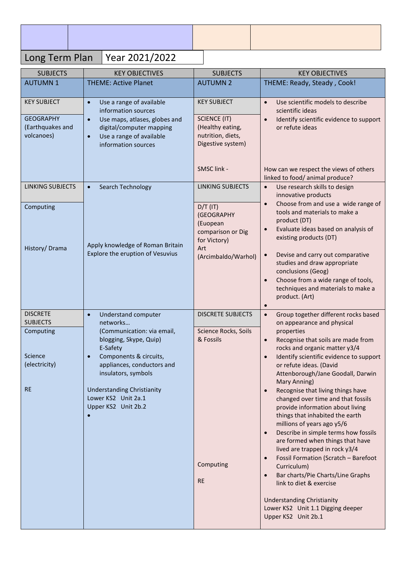## Long Term Plan | Year 2021/2022

| <b>SUBJECTS</b>              | <b>KEY OBJECTIVES</b>                                                | <b>SUBJECTS</b>                        | <b>KEY OBJECTIVES</b>                                                                |
|------------------------------|----------------------------------------------------------------------|----------------------------------------|--------------------------------------------------------------------------------------|
| <b>AUTUMN1</b>               | <b>THEME: Active Planet</b>                                          | <b>AUTUMN 2</b>                        | THEME: Ready, Steady, Cook!                                                          |
| <b>KEY SUBJECT</b>           |                                                                      | <b>KEY SUBJECT</b>                     |                                                                                      |
|                              | Use a range of available<br>$\bullet$<br>information sources         |                                        | Use scientific models to describe<br>$\bullet$<br>scientific ideas                   |
| <b>GEOGRAPHY</b>             | Use maps, atlases, globes and<br>$\bullet$                           | <b>SCIENCE (IT)</b>                    | Identify scientific evidence to support<br>$\bullet$                                 |
| (Earthquakes and             | digital/computer mapping                                             | (Healthy eating,                       | or refute ideas                                                                      |
| volcanoes)                   | Use a range of available<br>$\bullet$                                | nutrition, diets,<br>Digestive system) |                                                                                      |
|                              | information sources                                                  |                                        |                                                                                      |
|                              |                                                                      |                                        |                                                                                      |
|                              |                                                                      | SMSC link -                            | How can we respect the views of others                                               |
| <b>LINKING SUBJECTS</b>      | Search Technology<br>$\bullet$                                       | <b>LINKING SUBJECTS</b>                | linked to food/ animal produce?<br>Use research skills to design<br>$\bullet$        |
|                              |                                                                      |                                        | innovative products                                                                  |
| Computing                    |                                                                      | $D/T$ (IT)                             | Choose from and use a wide range of<br>$\bullet$                                     |
|                              |                                                                      | (GEOGRAPHY                             | tools and materials to make a<br>product (DT)                                        |
|                              |                                                                      | (Euopean<br>comparison or Dig          | Evaluate ideas based on analysis of<br>$\bullet$                                     |
|                              |                                                                      | for Victory)                           | existing products (DT)                                                               |
| History/Drama                | Apply knowledge of Roman Britain<br>Explore the eruption of Vesuvius | Art                                    |                                                                                      |
|                              |                                                                      | (Arcimbaldo/Warhol)                    | Devise and carry out comparative<br>$\bullet$<br>studies and draw appropriate        |
|                              |                                                                      |                                        | conclusions (Geog)                                                                   |
|                              |                                                                      |                                        | Choose from a wide range of tools,<br>$\bullet$                                      |
|                              |                                                                      |                                        | techniques and materials to make a<br>product. (Art)                                 |
|                              |                                                                      |                                        | $\bullet$                                                                            |
| <b>DISCRETE</b>              | <b>Understand computer</b><br>$\bullet$                              | <b>DISCRETE SUBJECTS</b>               | Group together different rocks based<br>$\bullet$                                    |
| <b>SUBJECTS</b><br>Computing | networks<br>(Communication: via email,                               | Science Rocks, Soils                   | on appearance and physical<br>properties                                             |
|                              | blogging, Skype, Quip)                                               | & Fossils                              | Recognise that soils are made from<br>$\bullet$                                      |
| Science                      | E-Safety                                                             |                                        | rocks and organic matter y3/4                                                        |
| (electricity)                | Components & circuits,<br>appliances, conductors and                 |                                        | Identify scientific evidence to support<br>$\bullet$<br>or refute ideas. (David      |
|                              | insulators, symbols                                                  |                                        | Attenborough/Jane Goodall, Darwin                                                    |
| <b>RE</b>                    | <b>Understanding Christianity</b>                                    |                                        | Mary Anning)                                                                         |
|                              | Lower KS2 Unit 2a.1                                                  |                                        | Recognise that living things have<br>$\bullet$<br>changed over time and that fossils |
|                              | Upper KS2 Unit 2b.2                                                  |                                        | provide information about living                                                     |
|                              |                                                                      |                                        | things that inhabited the earth<br>millions of years ago y5/6                        |
|                              |                                                                      |                                        | Describe in simple terms how fossils<br>$\bullet$                                    |
|                              |                                                                      |                                        | are formed when things that have                                                     |
|                              |                                                                      |                                        | lived are trapped in rock y3/4                                                       |
|                              |                                                                      | Computing                              | Fossil Formation (Scratch - Barefoot<br>$\bullet$<br>Curriculum)                     |
|                              |                                                                      |                                        | Bar charts/Pie Charts/Line Graphs<br>$\bullet$                                       |
|                              |                                                                      | <b>RE</b>                              | link to diet & exercise                                                              |
|                              |                                                                      |                                        | <b>Understanding Christianity</b>                                                    |
|                              |                                                                      |                                        | Lower KS2 Unit 1.1 Digging deeper                                                    |
|                              |                                                                      |                                        | Upper KS2 Unit 2b.1                                                                  |
|                              |                                                                      |                                        |                                                                                      |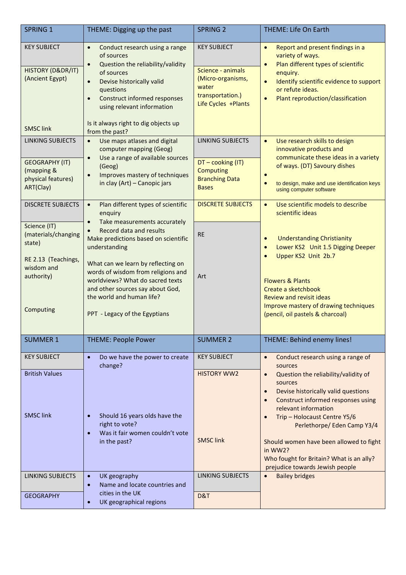| <b>SPRING 1</b>                                                                                               | THEME: Digging up the past                                                                                                                                                                                                                                                                                                                                   | <b>SPRING 2</b>                                                                                                  | <b>THEME: Life On Earth</b>                                                                                                                                                                                                                                                                                                                                                                                  |
|---------------------------------------------------------------------------------------------------------------|--------------------------------------------------------------------------------------------------------------------------------------------------------------------------------------------------------------------------------------------------------------------------------------------------------------------------------------------------------------|------------------------------------------------------------------------------------------------------------------|--------------------------------------------------------------------------------------------------------------------------------------------------------------------------------------------------------------------------------------------------------------------------------------------------------------------------------------------------------------------------------------------------------------|
| <b>KEY SUBJECT</b><br>HISTORY (D&DR/IT)<br>(Ancient Egypt)<br><b>SMSC link</b>                                | Conduct research using a range<br>$\bullet$<br>of sources<br>Question the reliability/validity<br>$\bullet$<br>of sources<br>Devise historically valid<br>$\bullet$<br>questions<br><b>Construct informed responses</b><br>$\bullet$<br>using relevant information<br>Is it always right to dig objects up<br>from the past?                                 | <b>KEY SUBJECT</b><br>Science - animals<br>(Micro-organisms,<br>water<br>transportation.)<br>Life Cycles +Plants | Report and present findings in a<br>$\bullet$<br>variety of ways.<br>Plan different types of scientific<br>$\bullet$<br>enquiry.<br>Identify scientific evidence to support<br>$\bullet$<br>or refute ideas.<br>Plant reproduction/classification<br>$\bullet$                                                                                                                                               |
| <b>LINKING SUBJECTS</b><br><b>GEOGRAPHY (IT)</b><br>(mapping &<br>physical features)<br>ART(Clay)             | Use maps atlases and digital<br>$\bullet$<br>computer mapping (Geog)<br>Use a range of available sources<br>$\bullet$<br>(Geog)<br>Improves mastery of techniques<br>$\bullet$<br>in clay (Art) - Canopic jars                                                                                                                                               | <b>LINKING SUBJECTS</b><br>DT-cooking (IT)<br><b>Computing</b><br><b>Branching Data</b><br><b>Bases</b>          | Use research skills to design<br>$\bullet$<br>innovative products and<br>communicate these ideas in a variety<br>of ways. (DT) Savoury dishes<br>$\bullet$<br>to design, make and use identification keys<br>$\bullet$<br>using computer software                                                                                                                                                            |
| <b>DISCRETE SUBJECTS</b>                                                                                      | Plan different types of scientific<br>$\bullet$<br>enquiry                                                                                                                                                                                                                                                                                                   | <b>DISCRETE SUBJECTS</b>                                                                                         | Use scientific models to describe<br>$\bullet$<br>scientific ideas                                                                                                                                                                                                                                                                                                                                           |
| Science (IT)<br>(materials/changing<br>state)<br>RE 2.13 (Teachings,<br>wisdom and<br>authority)<br>Computing | Take measurements accurately<br>$\bullet$<br>Record data and results<br>$\bullet$<br>Make predictions based on scientific<br>understanding<br>What can we learn by reflecting on<br>words of wisdom from religions and<br>worldviews? What do sacred texts<br>and other sources say about God,<br>the world and human life?<br>PPT - Legacy of the Egyptians | <b>RE</b><br>Art                                                                                                 | <b>Understanding Christianity</b><br>$\bullet$<br>Lower KS2 Unit 1.5 Digging Deeper<br>$\bullet$<br>Upper KS2 Unit 2b.7<br>$\bullet$<br><b>Flowers &amp; Plants</b><br>Create a sketchbook<br><b>Review and revisit ideas</b><br>Improve mastery of drawing techniques<br>(pencil, oil pastels & charcoal)                                                                                                   |
| <b>SUMMER 1</b>                                                                                               | <b>THEME: People Power</b>                                                                                                                                                                                                                                                                                                                                   | <b>SUMMER 2</b>                                                                                                  | THEME: Behind enemy lines!                                                                                                                                                                                                                                                                                                                                                                                   |
| <b>KEY SUBJECT</b>                                                                                            | Do we have the power to create<br>$\bullet$<br>change?                                                                                                                                                                                                                                                                                                       | <b>KEY SUBJECT</b>                                                                                               | Conduct research using a range of<br>$\bullet$<br>sources                                                                                                                                                                                                                                                                                                                                                    |
| <b>British Values</b><br><b>SMSC link</b>                                                                     | Should 16 years olds have the<br>right to vote?<br>Was it fair women couldn't vote<br>$\bullet$<br>in the past?                                                                                                                                                                                                                                              | <b>HISTORY WW2</b><br><b>SMSC link</b>                                                                           | Question the reliability/validity of<br>$\bullet$<br>sources<br>Devise historically valid questions<br>$\bullet$<br>Construct informed responses using<br>$\bullet$<br>relevant information<br>Trip - Holocaust Centre Y5/6<br>$\bullet$<br>Perlethorpe/ Eden Camp Y3/4<br>Should women have been allowed to fight<br>in WW2?<br>Who fought for Britain? What is an ally?<br>prejudice towards Jewish people |
| <b>LINKING SUBJECTS</b>                                                                                       | UK geography<br>$\bullet$<br>Name and locate countries and<br>$\bullet$                                                                                                                                                                                                                                                                                      | <b>LINKING SUBJECTS</b>                                                                                          | <b>Bailey bridges</b><br>$\bullet$                                                                                                                                                                                                                                                                                                                                                                           |
| <b>GEOGRAPHY</b>                                                                                              | cities in the UK<br>UK geographical regions<br>$\bullet$                                                                                                                                                                                                                                                                                                     | D&T                                                                                                              |                                                                                                                                                                                                                                                                                                                                                                                                              |